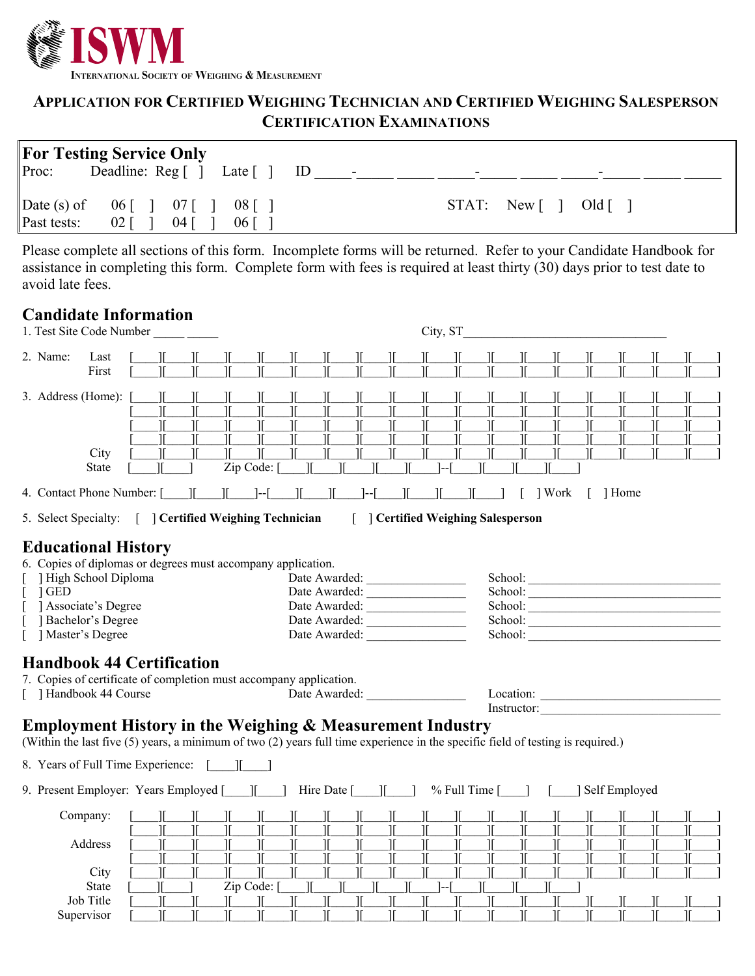

## **APPLICATION FOR CERTIFIED WEIGHING TECHNICIAN AND CERTIFIED WEIGHING SALESPERSON CERTIFICATION EXAMINATIONS**

| <b>For Testing Service Only</b>                                               |                            |                                      |
|-------------------------------------------------------------------------------|----------------------------|--------------------------------------|
| Deadline: Reg [] Late [<br>Proc:                                              | -lD<br>$\blacksquare$<br>- | -                                    |
| Date $(s)$ of<br>$06$ [ ] $07$ [ ]<br>Past tests:<br>$02\vert$<br>04 I<br>061 | $08$ []                    | $STAT: New$ $\lceil$<br>$Old \lceil$ |

Please complete all sections of this form. Incomplete forms will be returned. Refer to your Candidate Handbook for assistance in completing this form. Complete form with fees is required at least thirty (30) days prior to test date to avoid late fees.

## **Candidate Information**

| 1. Test Site Code Number                                                                                                                                                                                                                                                                        | City, ST                                                    |  |  |  |  |  |
|-------------------------------------------------------------------------------------------------------------------------------------------------------------------------------------------------------------------------------------------------------------------------------------------------|-------------------------------------------------------------|--|--|--|--|--|
| 2. Name:<br>Last<br>First                                                                                                                                                                                                                                                                       |                                                             |  |  |  |  |  |
| 3. Address (Home):<br>$\mathcal{I}$<br>$\mathcal{I}$<br>$\mathbb{I}$<br>$\mathbb{I}$<br>$\mathbb{I}$<br>Ι<br>JC<br>Ж<br>IL<br>$\mathbb{I}$<br>City<br>π<br>Zip Code:<br><b>State</b>                                                                                                            | Ι<br>π<br>10                                                |  |  |  |  |  |
| $\mathbb{I}$ $\mathbb{I}$ $\mathbb{I}$<br>4. Contact Phone Number: [ ]                                                                                                                                                                                                                          | ] Work<br>1 Home                                            |  |  |  |  |  |
| 5. Select Specialty: [ ] Certified Weighing Technician<br>[ ] Certified Weighing Salesperson                                                                                                                                                                                                    |                                                             |  |  |  |  |  |
| <b>Educational History</b><br>6. Copies of diplomas or degrees must accompany application.<br>High School Diploma<br>Date Awarded:<br>] GED<br>Date Awarded:<br>Associate's Degree<br>Date Awarded:<br>Bachelor's Degree<br>Date Awarded:<br>Master's Degree<br>Date Awarded:                   |                                                             |  |  |  |  |  |
| <b>Handbook 44 Certification</b><br>7. Copies of certificate of completion must accompany application.<br>[ ] Handbook 44 Course<br>Date Awarded:                                                                                                                                               |                                                             |  |  |  |  |  |
| Instructor:<br><b>Employment History in the Weighing &amp; Measurement Industry</b><br>(Within the last five (5) years, a minimum of two (2) years full time experience in the specific field of testing is required.)                                                                          |                                                             |  |  |  |  |  |
| 8. Years of Full Time Experience: [ ] ]                                                                                                                                                                                                                                                         |                                                             |  |  |  |  |  |
|                                                                                                                                                                                                                                                                                                 | $%$ Full Time $\lceil$ $\rceil$ $\lceil$<br>] Self Employed |  |  |  |  |  |
| Company:<br>$\mathcal{I}$<br>Ι<br>π<br>JĖ<br>JL<br>JC<br>JE<br>JC<br>Address<br>IL.<br>$\mathcal{I}$<br>$\mathbb{L}$<br>$\mathbb{I}$<br>$\mathbb{I}$<br>$\mathcal{I}$<br>π<br>$\mathcal{L}$<br>$\mathbb{I}$<br>H.<br>City<br><b>State</b><br>Zip Code: [<br>Job Title<br>Ж<br>Т<br>π<br>Т<br>Т. | JĽ<br>Ι<br>$\mathcal{I}$<br>π<br>11<br>Ш<br>Ж               |  |  |  |  |  |

Supervisor [\_\_\_\_][\_\_\_\_][\_\_\_\_][\_\_\_\_][\_\_\_\_][\_\_\_\_][\_\_\_\_][\_\_\_\_][\_\_\_\_][\_\_\_\_][\_\_\_\_][\_\_\_\_][\_\_\_\_][\_\_\_\_][\_\_\_\_][\_\_\_\_][\_\_\_\_][\_\_\_\_]